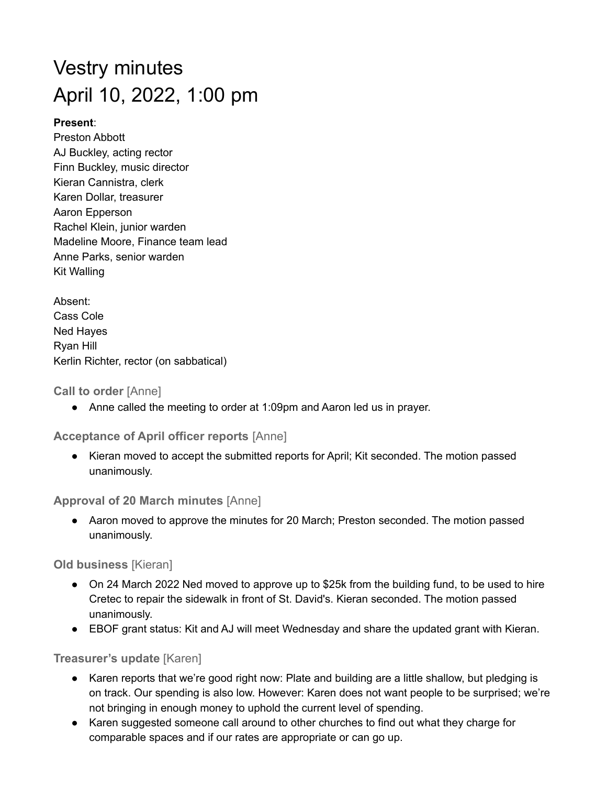# Vestry minutes April 10, 2022, 1:00 pm

# **Present**:

Preston Abbott AJ Buckley, acting rector Finn Buckley, music director Kieran Cannistra, clerk Karen Dollar, treasurer Aaron Epperson Rachel Klein, junior warden Madeline Moore, Finance team lead Anne Parks, senior warden Kit Walling

Absent: Cass Cole Ned Hayes Ryan Hill Kerlin Richter, rector (on sabbatical)

**Call to order** [Anne]

● Anne called the meeting to order at 1:09pm and Aaron led us in prayer.

**Acceptance of April officer reports** [Anne]

● Kieran moved to accept the submitted reports for April; Kit seconded. The motion passed unanimously.

**Approval of 20 March minutes** [Anne]

• Aaron moved to approve the minutes for 20 March; Preston seconded. The motion passed unanimously.

**Old business** [Kieran]

- On 24 March 2022 Ned moved to approve up to \$25k from the building fund, to be used to hire Cretec to repair the sidewalk in front of St. David's. Kieran seconded. The motion passed unanimously.
- EBOF grant status: Kit and AJ will meet Wednesday and share the updated grant with Kieran.

**Treasurer's update** [Karen]

- Karen reports that we're good right now: Plate and building are a little shallow, but pledging is on track. Our spending is also low. However: Karen does not want people to be surprised; we're not bringing in enough money to uphold the current level of spending.
- Karen suggested someone call around to other churches to find out what they charge for comparable spaces and if our rates are appropriate or can go up.